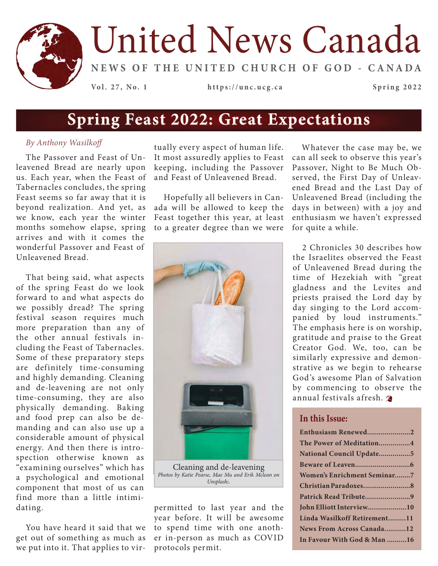

# United News Canada

**NEWS OF THE UNITED CHURCH OF GOD - CANADA**

**Vol. 27, No. 1 https://unc.ucg.ca Spring 2022**

### **Spring Feast 2022: Great Expectations**

### *By Anthony Wasilkoff*

The Passover and Feast of Unleavened Bread are nearly upon us. Each year, when the Feast of Tabernacles concludes, the spring Feast seems so far away that it is beyond realization. And yet, as we know, each year the winter months somehow elapse, spring arrives and with it comes the wonderful Passover and Feast of Unleavened Bread.

That being said, what aspects of the spring Feast do we look forward to and what aspects do we possibly dread? The spring festival season requires much more preparation than any of the other annual festivals including the Feast of Tabernacles. Some of these preparatory steps are definitely time-consuming and highly demanding. Cleaning and de-leavening are not only time-consuming, they are also physically demanding. Baking and food prep can also be demanding and can also use up a considerable amount of physical energy. And then there is introspection otherwise known as "examining ourselves" which has a psychological and emotional component that most of us can find more than a little intimidating.

You have heard it said that we get out of something as much as we put into it. That applies to vir-

tually every aspect of human life. It most assuredly applies to Feast keeping, including the Passover and Feast of Unleavened Bread.

Hopefully all believers in Canada will be allowed to keep the Feast together this year, at least to a greater degree than we were



Cleaning and de-leavening *Photos by Katie Pearse, Mae Mu and Erik Mclean on Unsplash;.*

permitted to last year and the year before. It will be awesome to spend time with one another in-person as much as COVID protocols permit.

Whatever the case may be, we can all seek to observe this year's Passover, Night to Be Much Observed, the First Day of Unleavened Bread and the Last Day of Unleavened Bread (including the days in between) with a joy and enthusiasm we haven't expressed for quite a while.

2 Chronicles 30 describes how the Israelites observed the Feast of Unleavened Bread during the time of Hezekiah with "great gladness and the Levites and priests praised the Lord day by day singing to the Lord accompanied by loud instruments." The emphasis here is on worship, gratitude and praise to the Great Creator God. We, too, can be similarly expressive and demonstrative as we begin to rehearse God's awesome Plan of Salvation by commencing to observe the annual festivals afresh.

### **In this Issue:**

| Enthusiasm Renewed2                |
|------------------------------------|
| The Power of Meditation4           |
| National Council Update5           |
|                                    |
| <b>Women's Enrichment Seminar7</b> |
|                                    |
|                                    |
| John Elliott Interview10           |
| Linda Wasilkoff Retirement11       |
| News From Across Canada12          |
| In Favour With God & Man 16        |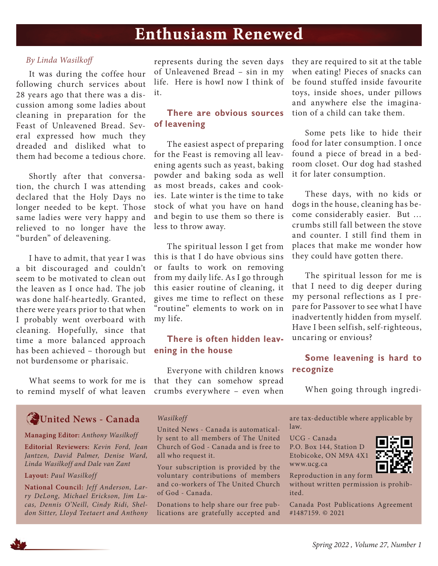### **Enthusiasm Renewed**

### *By Linda Wasilkoff*

It was during the coffee hour following church services about 28 years ago that there was a discussion among some ladies about cleaning in preparation for the Feast of Unleavened Bread. Several expressed how much they dreaded and disliked what to them had become a tedious chore.

Shortly after that conversation, the church I was attending declared that the Holy Days no longer needed to be kept. Those same ladies were very happy and relieved to no longer have the "burden" of deleavening.

I have to admit, that year I was a bit discouraged and couldn't seem to be motivated to clean out the leaven as I once had. The job was done half-heartedly. Granted, there were years prior to that when I probably went overboard with cleaning. Hopefully, since that time a more balanced approach has been achieved – thorough but not burdensome or pharisaic.

What seems to work for me is to remind myself of what leaven

represents during the seven days of Unleavened Bread – sin in my life. Here is howI now I think of it.

### **There are obvious sources of leavening**

The easiest aspect of preparing for the Feast is removing all leavening agents such as yeast, baking powder and baking soda as well as most breads, cakes and cookies. Late winter is the time to take stock of what you have on hand and begin to use them so there is less to throw away.

The spiritual lesson I get from this is that I do have obvious sins or faults to work on removing from my daily life. As I go through this easier routine of cleaning, it gives me time to reflect on these "routine" elements to work on in my life.

### **There is often hidden leavening in the house**

Everyone with children knows that they can somehow spread crumbs everywhere – even when

they are required to sit at the table when eating! Pieces of snacks can be found stuffed inside favourite toys, inside shoes, under pillows and anywhere else the imagination of a child can take them.

Some pets like to hide their food for later consumption. I once found a piece of bread in a bedroom closet. Our dog had stashed it for later consumption.

These days, with no kids or dogs in the house, cleaning has become considerably easier. But … crumbs still fall between the stove and counter. I still find them in places that make me wonder how they could have gotten there.

The spiritual lesson for me is that I need to dig deeper during my personal reflections as I prepare for Passover to see what I have inadvertently hidden from myself. Have I been selfish, self-righteous, uncaring or envious?

### **Some leavening is hard to recognize**

When going through ingredi-

### **United News - Canada**

**Managing Editor:** *Anthony Wasilkoff*

**Editorial Reviewers:** *Kevin Ford, Jean Jantzen, David Palmer, Denise Ward, Linda Wasilkoff and Dale van Zant*

#### **Layout:** *Paul Wasilkoff*

**National Council:** *Jeff Anderson, Larry DeLong, Michael Erickson, Jim Lucas, Dennis O'Neill, Cindy Ridi, Sheldon Sitter, Lloyd Teetaert and Anthony* 

### *Wasilkoff*

United News - Canada is automatically sent to all members of The United Church of God - Canada and is free to all who request it.

Your subscription is provided by the voluntary contributions of members and co-workers of The United Church of God - Canada.

Donations to help share our free publications are gratefully accepted and are tax-deductible where applicable by law.

UCG - Canada P.O. Box 144, Station D Etobicoke, ON M9A 4X1 www.ucg.ca



Reproduction in any form

without written permission is prohibited.

Canada Post Publications Agreement #1487159. © 2021

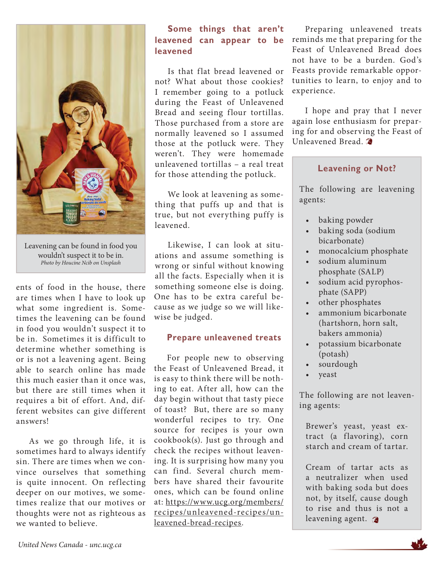

Leavening can be found in food you wouldn't suspect it to be in. *Photo by Houcine Ncib on Unsplash*

ents of food in the house, there are times when I have to look up what some ingredient is. Sometimes the leavening can be found in food you wouldn't suspect it to be in. Sometimes it is difficult to determine whether something is or is not a leavening agent. Being able to search online has made this much easier than it once was, but there are still times when it requires a bit of effort. And, different websites can give different answers!

As we go through life, it is sometimes hard to always identify sin. There are times when we convince ourselves that something is quite innocent. On reflecting deeper on our motives, we sometimes realize that our motives or thoughts were not as righteous as we wanted to believe.

### **Some things that aren't leavened can appear to be leavened**

Is that flat bread leavened or not? What about those cookies? I remember going to a potluck during the Feast of Unleavened Bread and seeing flour tortillas. Those purchased from a store are normally leavened so I assumed those at the potluck were. They weren't. They were homemade unleavened tortillas – a real treat for those attending the potluck.

We look at leavening as something that puffs up and that is true, but not everything puffy is leavened.

Likewise, I can look at situations and assume something is wrong or sinful without knowing all the facts. Especially when it is something someone else is doing. One has to be extra careful because as we judge so we will likewise be judged.

### **Prepare unleavened treats**

For people new to observing the Feast of Unleavened Bread, it is easy to think there will be nothing to eat. After all, how can the day begin without that tasty piece of toast? But, there are so many wonderful recipes to try. One source for recipes is your own cookbook(s). Just go through and check the recipes without leavening. It is surprising how many you can find. Several church members have shared their favourite ones, which can be found online at: https://www.ucg.org/members/ recipes/unleavened-recipes/unleavened-bread-recipes.

Preparing unleavened treats reminds me that preparing for the Feast of Unleavened Bread does not have to be a burden. God's Feasts provide remarkable opportunities to learn, to enjoy and to experience.

I hope and pray that I never again lose enthusiasm for preparing for and observing the Feast of Unleavened Bread.

### **Leavening or Not?**

The following are leavening agents:

- baking powder
- baking soda (sodium bicarbonate)
- monocalcium phosphate
- sodium aluminum phosphate (SALP)
- sodium acid pyrophosphate (SAPP)
- other phosphates
- ammonium bicarbonate (hartshorn, horn salt, bakers ammonia)
- potassium bicarbonate (potash)
- sourdough
- yeast

The following are not leavening agents:

Brewer's yeast, yeast extract (a flavoring), corn starch and cream of tartar.

Cream of tartar acts as a neutralizer when used with baking soda but does not, by itself, cause dough to rise and thus is not a leavening agent.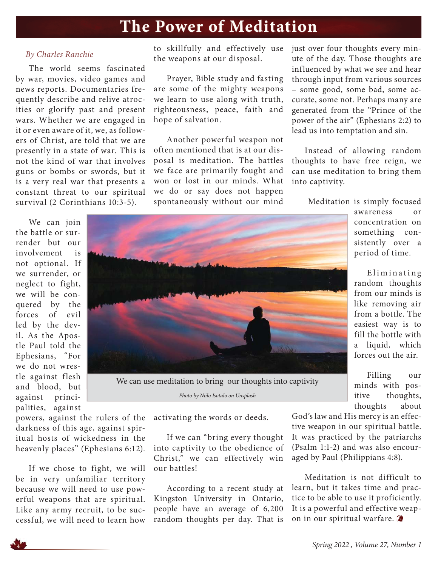### **The Power of Meditation**

### *By Charles Ranchie*

The world seems fascinated by war, movies, video games and news reports. Documentaries frequently describe and relive atrocities or glorify past and present wars. Whether we are engaged in it or even aware of it, we, as followers of Christ, are told that we are presently in a state of war. This is not the kind of war that involves guns or bombs or swords, but it is a very real war that presents a constant threat to our spiritual survival (2 Corinthians 10:3-5).

We can join the battle or surrender but our involvement is not optional. If we surrender, or neglect to fight, we will be conquered by the forces of evil

led by the devil. As the Apostle Paul told the Ephesians, "For we do not wrestle against flesh and blood, but against principalities, against to skillfully and effectively use the weapons at our disposal.

Prayer, Bible study and fasting are some of the mighty weapons we learn to use along with truth, righteousness, peace, faith and hope of salvation.

Another powerful weapon not often mentioned that is at our disposal is meditation. The battles we face are primarily fought and won or lost in our minds. What we do or say does not happen spontaneously without our mind

just over four thoughts every minute of the day. Those thoughts are influenced by what we see and hear through input from various sources – some good, some bad, some accurate, some not. Perhaps many are generated from the "Prince of the power of the air" (Ephesians 2:2) to lead us into temptation and sin.

Instead of allowing random thoughts to have free reign, we can use meditation to bring them into captivity.

Meditation is simply focused



Eliminating random thoughts from our minds is like removing air from a bottle. The easiest way is to fill the bottle with a liquid, which forces out the air.

Filling our minds with positive thoughts, thoughts about

powers, against the rulers of the darkness of this age, against spiritual hosts of wickedness in the heavenly places" (Ephesians 6:12).

If we chose to fight, we will be in very unfamiliar territory because we will need to use powerful weapons that are spiritual. Like any army recruit, to be successful, we will need to learn how

activating the words or deeds.

*Photo by Niilo Isotalo on Unsplash*

If we can "bring every thought into captivity to the obedience of Christ," we can effectively win our battles!

According to a recent study at Kingston University in Ontario, people have an average of 6,200 random thoughts per day. That is

God's law and His mercy is an effective weapon in our spiritual battle. It was practiced by the patriarchs (Psalm 1:1-2) and was also encouraged by Paul (Philippians 4:8).

Meditation is not difficult to learn, but it takes time and practice to be able to use it proficiently. It is a powerful and effective weapon in our spiritual warfare.



**<sup>4</sup>** *Spring 2022 , Volume 27, Number 1*

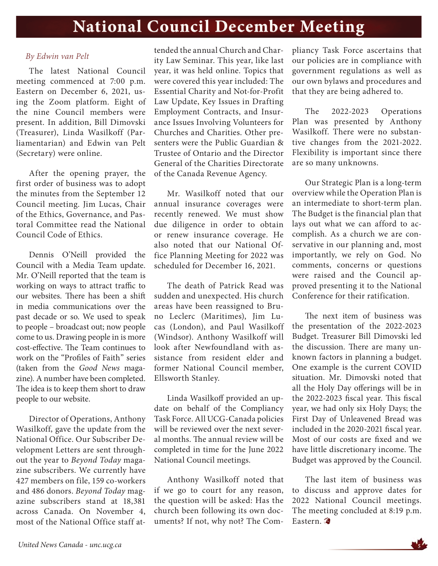### **National Council December Meeting**

### *By Edwin van Pelt*

The latest National Council meeting commenced at 7:00 p.m. Eastern on December 6, 2021, using the Zoom platform. Eight of the nine Council members were present. In addition, Bill Dimovski (Treasurer), Linda Wasilkoff (Parliamentarian) and Edwin van Pelt (Secretary) were online.

After the opening prayer, the first order of business was to adopt the minutes from the September 12 Council meeting. Jim Lucas, Chair of the Ethics, Governance, and Pastoral Committee read the National Council Code of Ethics.

Dennis O'Neill provided the Council with a Media Team update. Mr. O'Neill reported that the team is working on ways to attract traffic to our websites. There has been a shift in media communications over the past decade or so. We used to speak to people – broadcast out; now people come to us. Drawing people in is more cost-effective. The Team continues to work on the "Profiles of Faith" series (taken from the *Good News* magazine). A number have been completed. The idea is to keep them short to draw people to our website.

Director of Operations, Anthony Wasilkoff, gave the update from the National Office. Our Subscriber Development Letters are sent throughout the year to *Beyond Today* magazine subscribers. We currently have 427 members on file, 159 co-workers and 486 donors. *Beyond Today* magazine subscribers stand at 18,381 across Canada. On November 4, most of the National Office staff at-

tended the annual Church and Charity Law Seminar. This year, like last year, it was held online. Topics that were covered this year included: The Essential Charity and Not-for-Profit Law Update, Key Issues in Drafting Employment Contracts, and Insurance Issues Involving Volunteers for Churches and Charities. Other presenters were the Public Guardian & Trustee of Ontario and the Director General of the Charities Directorate of the Canada Revenue Agency.

Mr. Wasilkoff noted that our annual insurance coverages were recently renewed. We must show due diligence in order to obtain or renew insurance coverage. He also noted that our National Office Planning Meeting for 2022 was scheduled for December 16, 2021.

The death of Patrick Read was sudden and unexpected. His church areas have been reassigned to Bruno Leclerc (Maritimes), Jim Lucas (London), and Paul Wasilkoff (Windsor). Anthony Wasilkoff will look after Newfoundland with assistance from resident elder and former National Council member, Ellsworth Stanley.

Linda Wasilkoff provided an update on behalf of the Compliancy Task Force. All UCG-Canada policies will be reviewed over the next several months. The annual review will be completed in time for the June 2022 National Council meetings.

Anthony Wasilkoff noted that if we go to court for any reason, the question will be asked: Has the church been following its own documents? If not, why not? The Compliancy Task Force ascertains that our policies are in compliance with government regulations as well as our own bylaws and procedures and that they are being adhered to.

The 2022-2023 Operations Plan was presented by Anthony Wasilkoff. There were no substantive changes from the 2021-2022. Flexibility is important since there are so many unknowns.

Our Strategic Plan is a long-term overview while the Operation Plan is an intermediate to short-term plan. The Budget is the financial plan that lays out what we can afford to accomplish. As a church we are conservative in our planning and, most importantly, we rely on God. No comments, concerns or questions were raised and the Council approved presenting it to the National Conference for their ratification.

The next item of business was the presentation of the 2022-2023 Budget. Treasurer Bill Dimovski led the discussion. There are many unknown factors in planning a budget. One example is the current COVID situation. Mr. Dimovski noted that all the Holy Day offerings will be in the 2022-2023 fiscal year. This fiscal year, we had only six Holy Days; the First Day of Unleavened Bread was included in the 2020-2021 fiscal year. Most of our costs are fixed and we have little discretionary income. The Budget was approved by the Council.

The last item of business was to discuss and approve dates for 2022 National Council meetings. The meeting concluded at 8:19 p.m. Eastern.

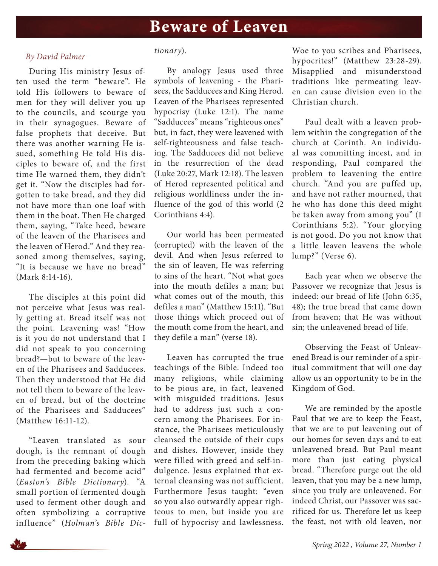### **Beware of Leaven Leaven**

#### *By David Palmer*

During His ministry Jesus often used the term "beware". He told His followers to beware of men for they will deliver you up to the councils, and scourge you in their synagogues. Beware of false prophets that deceive. But there was another warning He issued, something He told His disciples to beware of, and the first time He warned them, they didn't get it. "Now the disciples had forgotten to take bread, and they did not have more than one loaf with them in the boat. Then He charged them, saying, "Take heed, beware of the leaven of the Pharisees and the leaven of Herod." And they reasoned among themselves, saying, "It is because we have no bread" (Mark 8:14-16).

The disciples at this point did not perceive what Jesus was really getting at. Bread itself was not the point. Leavening was! "How is it you do not understand that I did not speak to you concerning bread?—but to beware of the leaven of the Pharisees and Sadducees. Then they understood that He did not tell them to beware of the leaven of bread, but of the doctrine of the Pharisees and Sadducees" (Matthew 16:11-12).

"Leaven translated as sour dough, is the remnant of dough from the preceding baking which had fermented and become acid" (*Easton's Bible Dictionary*). "A small portion of fermented dough used to ferment other dough and often symbolizing a corruptive influence" (*Holman's Bible Dic-*

#### *tionary*).

By analogy Jesus used three symbols of leavening - the Pharisees, the Sadducees and King Herod. Leaven of the Pharisees represented hypocrisy (Luke 12:1). The name "Sadducees" means "righteous ones" but, in fact, they were leavened with self-righteousness and false teaching. The Sadducees did not believe in the resurrection of the dead (Luke 20:27, Mark 12:18). The leaven of Herod represented political and religious worldliness under the influence of the god of this world (2 Corinthians 4:4).

Our world has been permeated (corrupted) with the leaven of the devil. And when Jesus referred to the sin of leaven, He was referring to sins of the heart. "Not what goes into the mouth defiles a man; but what comes out of the mouth, this defiles a man" (Matthew 15:11). "But those things which proceed out of the mouth come from the heart, and they defile a man" (verse 18).

Leaven has corrupted the true teachings of the Bible. Indeed too many religions, while claiming to be pious are, in fact, leavened with misguided traditions. Jesus had to address just such a concern among the Pharisees. For instance, the Pharisees meticulously cleansed the outside of their cups and dishes. However, inside they were filled with greed and self-indulgence. Jesus explained that external cleansing was not sufficient. Furthermore Jesus taught: "even so you also outwardly appear righteous to men, but inside you are full of hypocrisy and lawlessness.

Woe to you scribes and Pharisees, hypocrites!" (Matthew 23:28-29). Misapplied and misunderstood traditions like permeating leaven can cause division even in the Christian church.

Paul dealt with a leaven problem within the congregation of the church at Corinth. An individual was committing incest, and in responding, Paul compared the problem to leavening the entire church. "And you are puffed up, and have not rather mourned, that he who has done this deed might be taken away from among you" (I Corinthians 5:2). "Your glorying is not good. Do you not know that a little leaven leavens the whole lump?" (Verse 6).

Each year when we observe the Passover we recognize that Jesus is indeed: our bread of life (John 6:35, 48); the true bread that came down from heaven; that He was without sin; the unleavened bread of life.

Observing the Feast of Unleavened Bread is our reminder of a spiritual commitment that will one day allow us an opportunity to be in the Kingdom of God.

We are reminded by the apostle Paul that we are to keep the Feast, that we are to put leavening out of our homes for seven days and to eat unleavened bread. But Paul meant more than just eating physical bread. "Therefore purge out the old leaven, that you may be a new lump, since you truly are unleavened. For indeed Christ, our Passover was sacrificed for us. Therefore let us keep the feast, not with old leaven, nor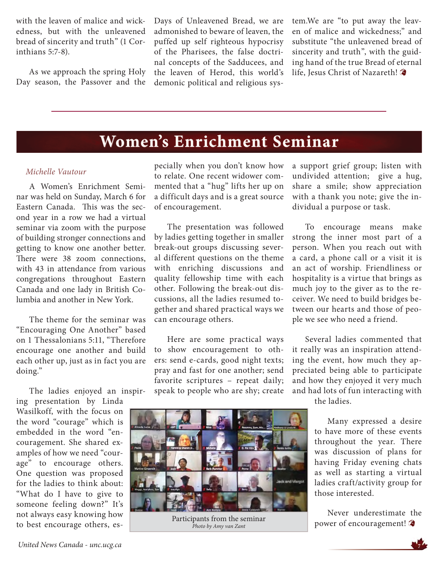with the leaven of malice and wickedness, but with the unleavened bread of sincerity and truth" (1 Corinthians 5:7-8).

As we approach the spring Holy Day season, the Passover and the

Days of Unleavened Bread, we are admonished to beware of leaven, the puffed up self righteous hypocrisy of the Pharisees, the false doctrinal concepts of the Sadducees, and the leaven of Herod, this world's demonic political and religious system.We are "to put away the leaven of malice and wickedness;" and substitute "the unleavened bread of sincerity and truth", with the guiding hand of the true Bread of eternal life, Jesus Christ of Nazareth!

### **Women's Enrichment Seminar**

#### *Michelle Vautour*

A Women's Enrichment Seminar was held on Sunday, March 6 for Eastern Canada. This was the second year in a row we had a virtual seminar via zoom with the purpose of building stronger connections and getting to know one another better. There were 38 zoom connections, with 43 in attendance from various congregations throughout Eastern Canada and one lady in British Columbia and another in New York.

The theme for the seminar was "Encouraging One Another" based on 1 Thessalonians 5:11, "Therefore encourage one another and build each other up, just as in fact you are doing."

The ladies enjoyed an inspir-

ing presentation by Linda Wasilkoff, with the focus on the word "courage" which is embedded in the word "encouragement. She shared examples of how we need "courage" to encourage others. One question was proposed for the ladies to think about: "What do I have to give to someone feeling down?" It's not always easy knowing how to best encourage others, especially when you don't know how to relate. One recent widower commented that a "hug" lifts her up on a difficult days and is a great source of encouragement.

The presentation was followed by ladies getting together in smaller break-out groups discussing several different questions on the theme with enriching discussions and quality fellowship time with each other. Following the break-out discussions, all the ladies resumed together and shared practical ways we can encourage others.

Here are some practical ways to show encouragement to others: send e-cards, good night texts; pray and fast for one another; send favorite scriptures – repeat daily; speak to people who are shy; create

a support grief group; listen with undivided attention; give a hug, share a smile; show appreciation with a thank you note; give the individual a purpose or task.

To encourage means make strong the inner most part of a person. When you reach out with a card, a phone call or a visit it is an act of worship. Friendliness or hospitality is a virtue that brings as much joy to the giver as to the receiver. We need to build bridges between our hearts and those of people we see who need a friend.

Several ladies commented that it really was an inspiration attending the event, how much they appreciated being able to participate and how they enjoyed it very much and had lots of fun interacting with



Participants from the seminar *Photo by Amy van Zant*

the ladies.

Many expressed a desire to have more of these events throughout the year. There was discussion of plans for having Friday evening chats as well as starting a virtual ladies craft/activity group for those interested.

Never underestimate the power of encouragement!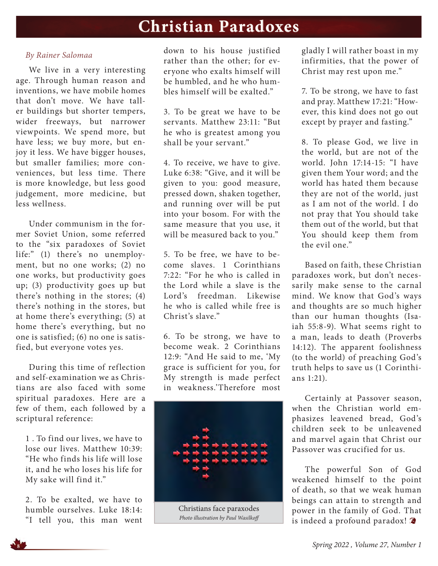### **Christian Paradoxes**

### *By Rainer Salomaa*

We live in a very interesting age. Through human reason and inventions, we have mobile homes that don't move. We have taller buildings but shorter tempers, wider freeways, but narrower viewpoints. We spend more, but have less; we buy more, but enjoy it less. We have bigger houses, but smaller families; more conveniences, but less time. There is more knowledge, but less good judgement, more medicine, but less wellness.

Under communism in the former Soviet Union, some referred to the "six paradoxes of Soviet life:" (1) there's no unemployment, but no one works; (2) no one works, but productivity goes up; (3) productivity goes up but there's nothing in the stores; (4) there's nothing in the stores, but at home there's everything; (5) at home there's everything, but no one is satisfied; (6) no one is satisfied, but everyone votes yes.

During this time of reflection and self-examination we as Christians are also faced with some spiritual paradoxes. Here are a few of them, each followed by a scriptural reference:

1 . To find our lives, we have to lose our lives. Matthew 10:39: "He who finds his life will lose it, and he who loses his life for My sake will find it."

2. To be exalted, we have to humble ourselves. Luke 18:14: "I tell you, this man went down to his house justified rather than the other; for everyone who exalts himself will be humbled, and he who humbles himself will be exalted."

3. To be great we have to be servants. Matthew 23:11: "But he who is greatest among you shall be your servant."

4. To receive, we have to give. Luke 6:38: "Give, and it will be given to you: good measure, pressed down, shaken together, and running over will be put into your bosom. For with the same measure that you use, it will be measured back to you."

5. To be free, we have to become slaves. 1 Corinthians 7:22: "For he who is called in the Lord while a slave is the Lord's freedman. Likewise he who is called while free is Christ's slave."

6. To be strong, we have to become weak. 2 Corinthians 12:9: "And He said to me, 'My grace is sufficient for you, for My strength is made perfect in weakness.'Therefore most



Christians face paraxodes *Photo illustration by Paul Wasilkoff*

gladly I will rather boast in my infirmities, that the power of Christ may rest upon me."

7. To be strong, we have to fast and pray. Matthew 17:21: "However, this kind does not go out except by prayer and fasting."

8. To please God, we live in the world, but are not of the world. John 17:14-15: "I have given them Your word; and the world has hated them because they are not of the world, just as I am not of the world. I do not pray that You should take them out of the world, but that You should keep them from the evil one."

Based on faith, these Christian paradoxes work, but don't necessarily make sense to the carnal mind. We know that God's ways and thoughts are so much higher than our human thoughts (Isaiah 55:8-9). What seems right to a man, leads to death (Proverbs 14:12). The apparent foolishness (to the world) of preaching God's truth helps to save us (1 Corinthians 1:21).

Certainly at Passover season, when the Christian world emphasizes leavened bread, God's children seek to be unleavened and marvel again that Christ our Passover was crucified for us.

The powerful Son of God weakened himself to the point of death, so that we weak human beings can attain to strength and power in the family of God. That is indeed a profound paradox!

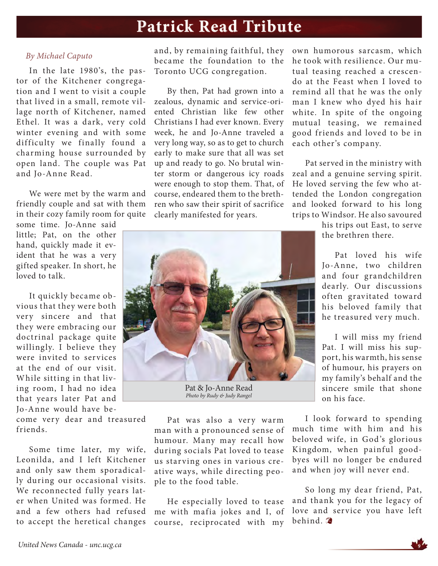### **Patrick Read Tribute**

### *By Michael Caputo*

In the late 1980's, the pastor of the Kitchener congregation and I went to visit a couple that lived in a small, remote village north of Kitchener, named Ethel. It was a dark, very cold winter evening and with some difficulty we finally found a charming house surrounded by open land. The couple was Pat and Jo-Anne Read.

We were met by the warm and friendly couple and sat with them in their cozy family room for quite

some time. Jo-Anne said little; Pat, on the other hand, quickly made it evident that he was a very gifted speaker. In short, he loved to talk.

It quickly became obvious that they were both very sincere and that they were embracing our doctrinal package quite willingly. I believe they were invited to services at the end of our visit. While sitting in that living room, I had no idea that years later Pat and Jo-Anne would have be-

come very dear and treasured friends.

Some time later, my wife, Leonilda, and I left Kitchener and only saw them sporadically during our occasional visits. We reconnected fully years later when United was formed. He and a few others had refused to accept the heretical changes

and, by remaining faithful, they became the foundation to the Toronto UCG congregation.

By then, Pat had grown into a zealous, dynamic and service-oriented Christian like few other Christians I had ever known. Every week, he and Jo-Anne traveled a very long way, so as to get to church early to make sure that all was set up and ready to go. No brutal winter storm or dangerous icy roads were enough to stop them. That, of course, endeared them to the brethren who saw their spirit of sacrifice clearly manifested for years.



Pat & Jo-Anne Read *Photo by Rudy & Judy Rangel*

Pat was also a very warm man with a pronounced sense of humour. Many may recall how during socials Pat loved to tease us starving ones in various creative ways, while directing people to the food table.

He especially loved to tease me with mafia jokes and I, of course, reciprocated with my

own humorous sarcasm, which he took with resilience. Our mutual teasing reached a crescendo at the Feast when I loved to remind all that he was the only man I knew who dyed his hair white. In spite of the ongoing mutual teasing, we remained good friends and loved to be in each other's company.

Pat served in the ministry with zeal and a genuine serving spirit. He loved serving the few who attended the London congregation and looked forward to his long trips to Windsor. He also savoured

> his trips out East, to serve the brethren there.

> Pat loved his wife Jo-Anne, two children and four grandchildren dearly. Our discussions often gravitated toward his beloved family that he treasured very much.

> I will miss my friend Pat. I will miss his support, his warmth, his sense of humour, his prayers on my family's behalf and the sincere smile that shone on his face.

I look forward to spending much time with him and his beloved wife, in God's glorious Kingdom, when painful goodbyes will no longer be endured and when joy will never end.

So long my dear friend, Pat, and thank you for the legacy of love and service you have left behind.

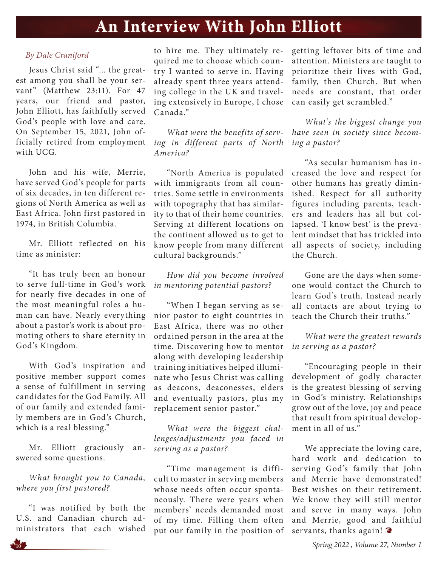### **An Interview With John Elliott**

### *By Dale Craniford*

Jesus Christ said "... the greatest among you shall be your servant" (Matthew 23:11). For 47 years, our friend and pastor, John Elliott, has faithfully served God's people with love and care. On September 15, 2021, John officially retired from employment with UCG.

John and his wife, Merrie, have served God's people for parts of six decades, in ten different regions of North America as well as East Africa. John first pastored in 1974, in British Columbia.

Mr. Elliott reflected on his time as minister:

"It has truly been an honour to serve full-time in God's work for nearly five decades in one of the most meaningful roles a human can have. Nearly everything about a pastor's work is about promoting others to share eternity in God's Kingdom.

With God's inspiration and positive member support comes a sense of fulfillment in serving candidates for the God Family. All of our family and extended family members are in God's Church, which is a real blessing."

Mr. Elliott graciously answered some questions.

*What brought you to Canada, where you first pastored?*

"I was notified by both the U.S. and Canadian church administrators that each wished to hire me. They ultimately required me to choose which country I wanted to serve in. Having already spent three years attending college in the UK and traveling extensively in Europe, I chose Canada."

*What were the benefits of serving in different parts of North America?*

"North America is populated with immigrants from all countries. Some settle in environments with topography that has similarity to that of their home countries. Serving at different locations on the continent allowed us to get to know people from many different cultural backgrounds."

*How did you become involved in mentoring potential pastors?*

"When I began serving as senior pastor to eight countries in East Africa, there was no other ordained person in the area at the time. Discovering how to mentor along with developing leadership training initiatives helped illuminate who Jesus Christ was calling as deacons, deaconesses, elders and eventually pastors, plus my replacement senior pastor."

*What were the biggest challenges/adjustments you faced in serving as a pastor?*

"Time management is difficult to master in serving members whose needs often occur spontaneously. There were years when members' needs demanded most of my time. Filling them often put our family in the position of getting leftover bits of time and attention. Ministers are taught to prioritize their lives with God, family, then Church. But when needs are constant, that order can easily get scrambled."

*What's the biggest change you have seen in society since becoming a pastor?*

"As secular humanism has increased the love and respect for other humans has greatly diminished. Respect for all authority figures including parents, teachers and leaders has all but collapsed. 'I know best' is the prevalent mindset that has trickled into all aspects of society, including the Church.

Gone are the days when someone would contact the Church to learn God's truth. Instead nearly all contacts are about trying to teach the Church their truths."

*What were the greatest rewards in serving as a pastor?*

"Encouraging people in their development of godly character is the greatest blessing of serving in God's ministry. Relationships grow out of the love, joy and peace that result from spiritual development in all of us."

We appreciate the loving care, hard work and dedication to serving God's family that John and Merrie have demonstrated! Best wishes on their retirement. We know they will still mentor and serve in many ways. John and Merrie, good and faithful servants, thanks again!

**<sup>10</sup>** *Spring 2022 , Volume 27, Number 1*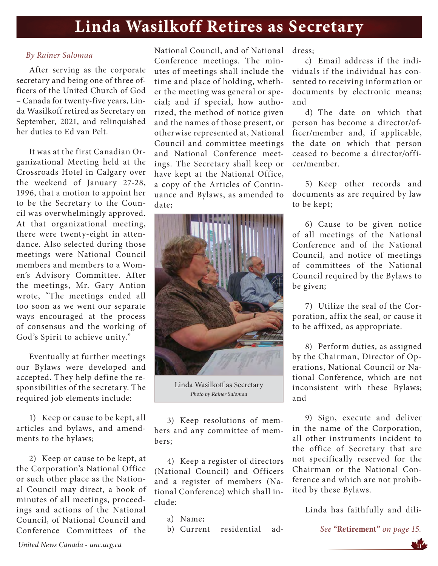## **Linda Wasilkoff Retires as Secretary Linda Retires**

### *By Rainer Salomaa*

After serving as the corporate secretary and being one of three officers of the United Church of God – Canada for twenty-five years, Linda Wasilkoff retired as Secretary on September, 2021, and relinquished her duties to Ed van Pelt.

It was at the first Canadian Organizational Meeting held at the Crossroads Hotel in Calgary over the weekend of January 27-28, 1996, that a motion to appoint her to be the Secretary to the Council was overwhelmingly approved. At that organizational meeting, there were twenty-eight in attendance. Also selected during those meetings were National Council members and members to a Women's Advisory Committee. After the meetings, Mr. Gary Antion wrote, "The meetings ended all too soon as we went our separate ways encouraged at the process of consensus and the working of God's Spirit to achieve unity."

Eventually at further meetings our Bylaws were developed and accepted. They help define the responsibilities of the secretary. The required job elements include:

1) Keep or cause to be kept, all articles and bylaws, and amendments to the bylaws;

2) Keep or cause to be kept, at the Corporation's National Office or such other place as the National Council may direct, a book of minutes of all meetings, proceedings and actions of the National Council, of National Council and Conference Committees of the

National Council, and of National Conference meetings. The minutes of meetings shall include the time and place of holding, whether the meeting was general or special; and if special, how authorized, the method of notice given and the names of those present, or otherwise represented at, National Council and committee meetings and National Conference meetings. The Secretary shall keep or have kept at the National Office, a copy of the Articles of Continuance and Bylaws, as amended to date;



Linda Wasilkoff as Secretary *Photo by Rainer Salomaa*

3) Keep resolutions of members and any committee of members;

4) Keep a register of directors (National Council) and Officers and a register of members (National Conference) which shall include:

a) Name;

b) Current residential ad-

dress;

c) Email address if the individuals if the individual has consented to receiving information or documents by electronic means; and

d) The date on which that person has become a director/officer/member and, if applicable, the date on which that person ceased to become a director/officer/member.

5) Keep other records and documents as are required by law to be kept;

6) Cause to be given notice of all meetings of the National Conference and of the National Council, and notice of meetings of committees of the National Council required by the Bylaws to be given;

7) Utilize the seal of the Corporation, affix the seal, or cause it to be affixed, as appropriate.

8) Perform duties, as assigned by the Chairman, Director of Operations, National Council or National Conference, which are not inconsistent with these Bylaws; and

9) Sign, execute and deliver in the name of the Corporation, all other instruments incident to the office of Secretary that are not specifically reserved for the Chairman or the National Conference and which are not prohibited by these Bylaws.

Linda has faithfully and dili-

*See* **"Retirement"** *on page 15.*

 *United News Canada - unc.ucg.ca* **<sup>11</sup>**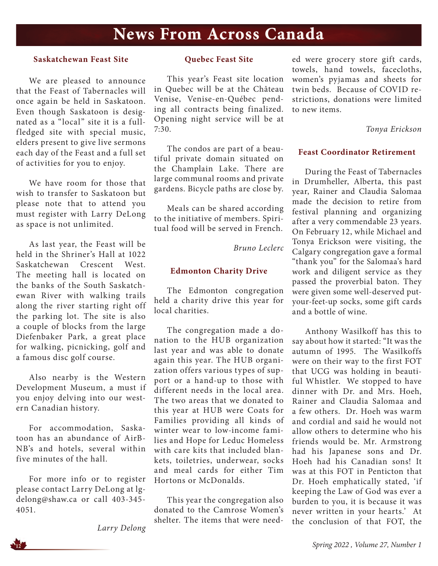### **News From Across Canada**

#### **Saskatchewan Feast Site**

We are pleased to announce that the Feast of Tabernacles will once again be held in Saskatoon. Even though Saskatoon is designated as a "local" site it is a fullfledged site with special music, elders present to give live sermons each day of the Feast and a full set of activities for you to enjoy.

We have room for those that wish to transfer to Saskatoon but please note that to attend you must register with Larry DeLong as space is not unlimited.

As last year, the Feast will be held in the Shriner's Hall at 1022 Saskatchewan Crescent West. The meeting hall is located on the banks of the South Saskatchewan River with walking trails along the river starting right off the parking lot. The site is also a couple of blocks from the large Diefenbaker Park, a great place for walking, picnicking, golf and a famous disc golf course.

Also nearby is the Western Development Museum, a must if you enjoy delving into our western Canadian history.

For accommodation, Saskatoon has an abundance of AirB-NB's and hotels, several within five minutes of the hall.

For more info or to register please contact Larry DeLong at lgdelong@shaw.ca or call 403-345- 4051.

*Larry Delong*

#### **Quebec Feast Site**

This year's Feast site location in Quebec will be at the Château Venise, Venise-en-Québec pending all contracts being finalized. Opening night service will be at 7:30.

The condos are part of a beautiful private domain situated on the Champlain Lake. There are large communal rooms and private gardens. Bicycle paths are close by.

Meals can be shared according to the initiative of members. Spiritual food will be served in French.

*Bruno Leclerc*

#### **Edmonton Charity Drive**

The Edmonton congregation held a charity drive this year for local charities.

The congregation made a donation to the HUB organization last year and was able to donate again this year. The HUB organization offers various types of support or a hand-up to those with different needs in the local area. The two areas that we donated to this year at HUB were Coats for Families providing all kinds of winter wear to low-income families and Hope for Leduc Homeless with care kits that included blankets, toiletries, underwear, socks and meal cards for either Tim Hortons or McDonalds.

This year the congregation also donated to the Camrose Women's shelter. The items that were needed were grocery store gift cards, towels, hand towels, facecloths, women's pyjamas and sheets for twin beds. Because of COVID restrictions, donations were limited to new items.

*Tonya Erickson*

#### **Feast Coordinator Retirement**

During the Feast of Tabernacles in Drumheller, Alberta, this past year, Rainer and Claudia Salomaa made the decision to retire from festival planning and organizing after a very commendable 23 years. On February 12, while Michael and Tonya Erickson were visiting, the Calgary congregation gave a formal "thank you" for the Salomaa's hard work and diligent service as they passed the proverbial baton. They were given some well-deserved putyour-feet-up socks, some gift cards and a bottle of wine.

Anthony Wasilkoff has this to say about how it started: "It was the autumn of 1995. The Wasilkoffs were on their way to the first FOT that UCG was holding in beautiful Whistler. We stopped to have dinner with Dr. and Mrs. Hoeh, Rainer and Claudia Salomaa and a few others. Dr. Hoeh was warm and cordial and said he would not allow others to determine who his friends would be. Mr. Armstrong had his Japanese sons and Dr. Hoeh had his Canadian sons! It was at this FOT in Penticton that Dr. Hoeh emphatically stated, 'if keeping the Law of God was ever a burden to you, it is because it was never written in your hearts.' At the conclusion of that FOT, the

**<sup>12</sup>** *Spring 2022 , Volume 27, Number 1*

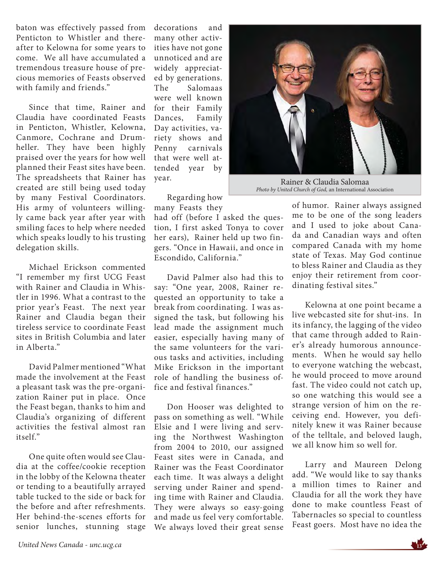baton was effectively passed from Penticton to Whistler and thereafter to Kelowna for some years to come. We all have accumulated a tremendous treasure house of precious memories of Feasts observed with family and friends."

Since that time, Rainer and Claudia have coordinated Feasts in Penticton, Whistler, Kelowna, Canmore, Cochrane and Drumheller. They have been highly praised over the years for how well planned their Feast sites have been. The spreadsheets that Rainer has created are still being used today by many Festival Coordinators. His army of volunteers willingly came back year after year with smiling faces to help where needed which speaks loudly to his trusting delegation skills.

Michael Erickson commented "I remember my first UCG Feast with Rainer and Claudia in Whistler in 1996. What a contrast to the prior year's Feast. The next year Rainer and Claudia began their tireless service to coordinate Feast sites in British Columbia and later in Alberta."

David Palmer mentioned "What made the involvement at the Feast a pleasant task was the pre-organization Rainer put in place. Once the Feast began, thanks to him and Claudia's organizing of different activities the festival almost ran itself."

One quite often would see Claudia at the coffee/cookie reception in the lobby of the Kelowna theater or tending to a beautifully arrayed table tucked to the side or back for the before and after refreshments. Her behind-the-scenes efforts for senior lunches, stunning stage

decorations and many other activities have not gone unnoticed and are widely appreciated by generations. The Salomaas were well known for their Family Dances, Family Day activities, variety shows and Penny carnivals that were well attended year by year.

Regarding how many Feasts they

had off (before I asked the question, I first asked Tonya to cover her ears), Rainer held up two fingers. "Once in Hawaii, and once in Escondido, California."

David Palmer also had this to say: "One year, 2008, Rainer requested an opportunity to take a break from coordinating. I was assigned the task, but following his lead made the assignment much easier, especially having many of the same volunteers for the various tasks and activities, including Mike Erickson in the important role of handling the business office and festival finances."

Don Hooser was delighted to pass on something as well. "While Elsie and I were living and serving the Northwest Washington from 2004 to 2010, our assigned Feast sites were in Canada, and Rainer was the Feast Coordinator each time. It was always a delight serving under Rainer and spending time with Rainer and Claudia. They were always so easy-going and made us feel very comfortable. We always loved their great sense



Rainer & Claudia Salomaa *Photo by United Church of God,* an International Association

of humor. Rainer always assigned me to be one of the song leaders and I used to joke about Canada and Canadian ways and often compared Canada with my home state of Texas. May God continue to bless Rainer and Claudia as they enjoy their retirement from coordinating festival sites."

Kelowna at one point became a live webcasted site for shut-ins. In its infancy, the lagging of the video that came through added to Rainer's already humorous announcements. When he would say hello to everyone watching the webcast, he would proceed to move around fast. The video could not catch up, so one watching this would see a strange version of him on the receiving end. However, you definitely knew it was Rainer because of the telltale, and beloved laugh, we all know him so well for.

Larry and Maureen Delong add. "We would like to say thanks a million times to Rainer and Claudia for all the work they have done to make countless Feast of Tabernacles so special to countless Feast goers. Most have no idea the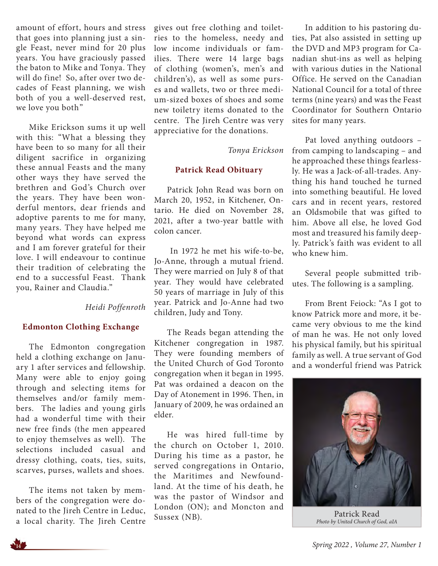amount of effort, hours and stress that goes into planning just a single Feast, never mind for 20 plus years. You have graciously passed the baton to Mike and Tonya. They will do fine! So, after over two decades of Feast planning, we wish both of you a well-deserved rest, we love you both"

Mike Erickson sums it up well with this: "What a blessing they have been to so many for all their diligent sacrifice in organizing these annual Feasts and the many other ways they have served the brethren and God's Church over the years. They have been wonderful mentors, dear friends and adoptive parents to me for many, many years. They have helped me beyond what words can express and I am forever grateful for their love. I will endeavour to continue their tradition of celebrating the end to a successful Feast. Thank you, Rainer and Claudia."

### *Heidi Poffenroth*

### **Edmonton Clothing Exchange**

The Edmonton congregation held a clothing exchange on January 1 after services and fellowship. Many were able to enjoy going through and selecting items for themselves and/or family members. The ladies and young girls had a wonderful time with their new free finds (the men appeared to enjoy themselves as well). The selections included casual and dressy clothing, coats, ties, suits, scarves, purses, wallets and shoes.

The items not taken by members of the congregation were donated to the Jireh Centre in Leduc, a local charity. The Jireh Centre

gives out free clothing and toiletries to the homeless, needy and low income individuals or families. There were 14 large bags of clothing (women's, men's and children's), as well as some purses and wallets, two or three medium-sized boxes of shoes and some new toiletry items donated to the centre. The Jireh Centre was very appreciative for the donations.

*Tonya Erickson*

#### **Patrick Read Obituary**

Patrick John Read was born on March 20, 1952, in Kitchener, Ontario. He died on November 28, 2021, after a two-year battle with colon cancer.

 In 1972 he met his wife-to-be, Jo-Anne, through a mutual friend. They were married on July 8 of that year. They would have celebrated 50 years of marriage in July of this year. Patrick and Jo-Anne had two children, Judy and Tony.

The Reads began attending the Kitchener congregation in 1987. They were founding members of the United Church of God Toronto congregation when it began in 1995. Pat was ordained a deacon on the Day of Atonement in 1996. Then, in January of 2009, he was ordained an elder.

He was hired full-time by the church on October 1, 2010. During his time as a pastor, he served congregations in Ontario, the Maritimes and Newfoundland. At the time of his death, he was the pastor of Windsor and London (ON); and Moncton and Sussex (NB).

In addition to his pastoring duties, Pat also assisted in setting up the DVD and MP3 program for Canadian shut-ins as well as helping with various duties in the National Office. He served on the Canadian National Council for a total of three terms (nine years) and was the Feast Coordinator for Southern Ontario sites for many years.

Pat loved anything outdoors – from camping to landscaping – and he approached these things fearlessly. He was a Jack-of-all-trades. Anything his hand touched he turned into something beautiful. He loved cars and in recent years, restored an Oldsmobile that was gifted to him. Above all else, he loved God most and treasured his family deeply. Patrick's faith was evident to all who knew him.

Several people submitted tributes. The following is a sampling.

From Brent Feiock: "As I got to know Patrick more and more, it became very obvious to me the kind of man he was. He not only loved his physical family, but his spiritual family as well. A true servant of God and a wonderful friend was Patrick



Patrick Read *Photo by United Church of God, aIA*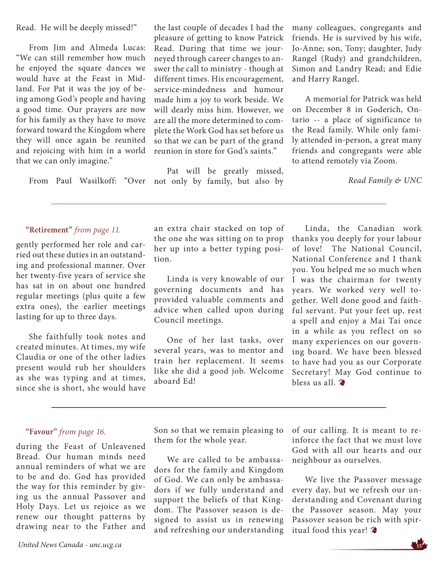Read. He will be deeply missed!"

From Jim and Almeda Lucas: "We can still remember how much he enjoyed the square dances we would have at the Feast in Midland. For Pat it was the joy of being among God's people and having a good time. Our prayers are now for his family as they have to move forward toward the Kingdom where they will once again be reunited and rejoicing with him in a world that we can only imagine."

From Paul Wasilkoff: "Over

the last couple of decades I had the pleasure of getting to know Patrick Read. During that time we journeyed through career changes to answer the call to ministry - though at different times. His encouragement, service-mindedness and humour made him a joy to work beside. We will dearly miss him. However, we are all the more determined to complete the Work God has set before us so that we can be part of the grand reunion in store for God's saints."

Pat will be greatly missed, not only by family, but also by

many colleagues, congregants and friends. He is survived by his wife, Jo-Anne; son, Tony; daughter, Judy Rangel (Rudy) and grandchildren, Simon and Landry Read; and Edie and Harry Rangel.

A memorial for Patrick was held on December 8 in Goderich, Ontario -- a place of significance to the Read family. While only family attended in-person, a great many friends and congregants were able to attend remotely via Zoom.

*Read Family & UNC*

#### **"Retirement"** *from page 11.*

gently performed her role and carried out these duties in an outstanding and professional manner. Over her twenty-five years of service she has sat in on about one hundred regular meetings (plus quite a few extra ones), the earlier meetings lasting for up to three days.

She faithfully took notes and created minutes. At times, my wife Claudia or one of the other ladies present would rub her shoulders as she was typing and at times, since she is short, she would have an extra chair stacked on top of the one she was sitting on to prop her up into a better typing position.

Linda is very knowable of our governing documents and has provided valuable comments and advice when called upon during Council meetings.

One of her last tasks, over several years, was to mentor and train her replacement. It seems like she did a good job. Welcome aboard Ed!

Linda, the Canadian work thanks you deeply for your labour of love! The National Council, National Conference and I thank you. You helped me so much when I was the chairman for twenty years. We worked very well together. Well done good and faithful servant. Put your feet up, rest a spell and enjoy a Mai Tai once in a while as you reflect on so many experiences on our governing board. We have been blessed to have had you as our Corporate Secretary! May God continue to bless us all.

### **"Favour"** *from page 16.*

during the Feast of Unleavened Bread. Our human minds need annual reminders of what we are to be and do. God has provided the way for this reminder by giving us the annual Passover and Holy Days. Let us rejoice as we renew our thought patterns by drawing near to the Father and

 *United News Canada - unc.ucg.ca* **<sup>15</sup>**

Son so that we remain pleasing to them for the whole year.

We are called to be ambassadors for the family and Kingdom of God. We can only be ambassadors if we fully understand and support the beliefs of that Kingdom. The Passover season is designed to assist us in renewing and refreshing our understanding

of our calling. It is meant to reinforce the fact that we must love God with all our hearts and our neighbour as ourselves.

We live the Passover message every day, but we refresh our understanding and Covenant during the Passover season. May your Passover season be rich with spiritual food this year!